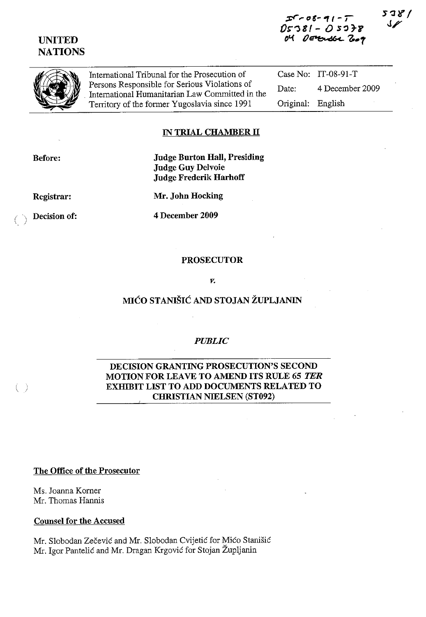# UNITED **NATIONS**





International Tribunal for the Prosecution of Persons Responsible for Serious Violations of International Humanitarian Law Committed in the Territory of the fonner Yugoslavia since 1991

Case No: IT-08-91-T Date: 4 December 2009 Original: English

### IN TRIAL CHAMBER II

Before:

Judge Burton Hall, Presiding Judge Guy Delvoie Judge Frederik Harhoff

Registrar:

Mr. John Hocking

 $\left( \quad \right)$ 

( ) Decision of: 4 December 2009

#### PROSECUTOR

*v.* 

## MICO STANISIC AND STOJAN ZUPLJANIN

#### *PUBLIC*

### DECISION GRANTING PROSECUTION'S SECOND MOTION FOR LEAVE TO AMEND ITS RULE 65 *TER*  EXHIBIT LIST TO ADD DOCUMENTS RELATED TO CHRISTIAN NIELSEN (ST092)

The Office of the Prosecutor

Ms. Joanna Komer Mr. Thomas Hannis

#### Counsel for the Accused

Mr. Slobodan Zecevic and Mr. Slobodan Cvijetic for Mico Stanisic Mr. Igor Pantelić and Mr. Dragan Krgović for Stojan Župljanin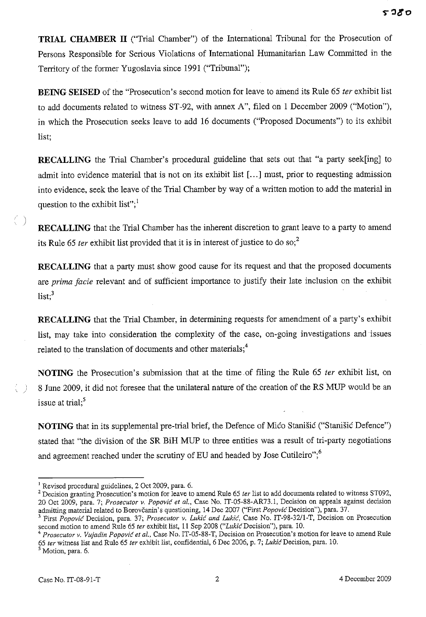**TRIAL CHAMBER 11** ("Trial Chamber") of the International Tribunal for the Prosecution of Persons Responsible for Serious Violations of International Humanitarian Law Committed in the Territory of the former Yugoslavia since 1991 ("Tribunal");

**BEING SEISED** of the "Prosecution's second motion for leave to amend its Rule 65 *ter* exhibit list to add documents related to witness ST-92, with annex A", filed on 1 December 2009 ("Motion"), in which the Prosecution seeks leave to add 16 documents ("Proposed Documents") to its exhibit list;

**RECALLING** the Trial Chamber's procedural guideline that sets out that "a party seek[ing] to admit into evidence material that is not on its exhibit list [...] must, prior to requesting admission into evidence, seek the leave of the Trial Chamber by way of a written motion to add the material in question to the exhibit list"; $\frac{1}{1}$ 

**RECALLING** that the Trial Chamber has the inherent discretion to grant leave to a party to amend its Rule 65 *ter* exhibit list provided that it is in interest of justice to do so;<sup>2</sup>

**RECALLING** that a party must show good cause for its request and that the proposed documents are prima facie relevant and of sufficient importance to justify their late inclusion on the exhibit  $list;$ <sup>3</sup>

**RECALLING** that the Trial Chamber, in determining requests for amendment of a party's exhibit list, may take into consideration the complexity of the case, on-going investigations and issues related to the translation of documents and other materials;<sup>4</sup>

**NOTING** the Prosecution's submission that at the time of filing the Rule 65 *ter* exhibit list, on 8 June 2009, it did not foresee that the unilateral nature of the creation of the RS MUP would be an issue at trial; $<sup>5</sup>$ </sup>

**NOTING** that in its supplemental pre-trial brief, the Defence of Mico Stanisic ("Stanisic Defence") stated that "the division of the SR BiH MUP to three entities was a result of tri-party negotiations and agreement reached under the scrutiny of EU and headed by Jose Cutileiro"; $<sup>6</sup>$ </sup>

<sup>4</sup> Prosecutor v. Vujadin Popović et al., Case No. IT-05-88-T, Decision on Prosecution's motion for leave to amend Rule *65 fer* witness list and Rule 65 *fer* exhibit list, confidential, 6 Dec 2006, p. 7; *LukicDecision,* para. 10.

<sup>5</sup> Motion, para. 6.

)

0)

<sup>&</sup>lt;sup>1</sup> Revised procedural guidelines, 2 Oct 2009, para. 6.

<sup>2</sup> Decision granting Prosecution's motion for leave to amend Rule 65 *fer* list to add documents related to witness ST092, 20 Gct 2009, para. 7; *Prosecutor v. Papavic et aI.,* Case No. IT-05-88-AR73.1, Decision on appeals against decision admitting material related to Borovčanin's questioning, 14 Dec 2007 ("First *Popovic* Decision"), para. 37.

<sup>3</sup> First *Papavic* Decision, para. 37; *Prosecutor v. Lukic and Lukic,* Case No. IT-98-32/l-T, Decision on Prosecution second motion to amend Rule 65 *fer* exhibit list, 11 Sep 2008 *("LukicDecision"),* para. 10.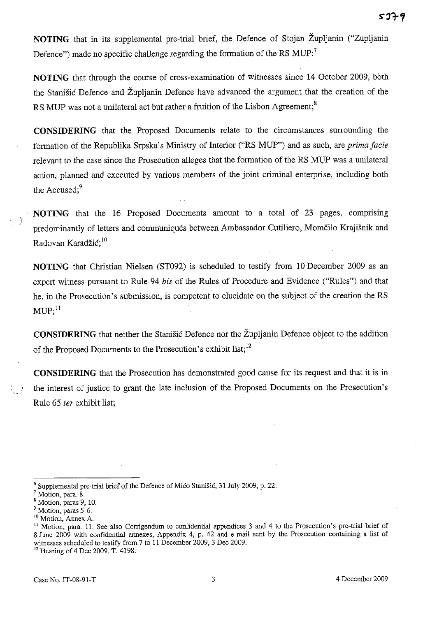**NOTING** that in its supplemental pre-trial brief, the Defence of Stojan Zupljanin ("Zupljanin Defence") made no specific challenge regarding the formation of the RS  $MUP$ ;<sup>7</sup>

**NOTING** that through the course of cross-examination of witnesses since 14 October 2009, both the Stanisic Defence and Zupljanin Defence have advanced the argument that the creation of the RS MUP was not a unilateral act but rather a fruition of the Lisbon Agreement;<sup>8</sup>

**CONSIDERING** that the Proposed Documents relate to the circumstances surrounding the formation of the Republika Srpska's Ministry of Interior ("RS MUP") and as such, are *prima facie*  relevant to the case since the Prosecution alleges that the formation of the RS MUP was a unilateral action, planned and executed by various members of the joint criminal enterprise, including both the Accused;<sup>9</sup>

**NOTING** that the 16 Proposed Documents amount to a total of 23 pages, comprising predominantly of letters and communiqués between Ambassador Cutiliero, Momčilo Krajišnik and Radovan Karadžić;<sup>10</sup>

**NOTING** that Christian Nielsen (ST092) is scheduled to testify from 10 December 2009 as an expert witness pursuant to Rule 94 *bis* of the Rules of Procedure and Evidence ("Rules") and that he, in the Prosecution's submission, is competent to elucidate on the subject of the creation the RS  $\text{MUP};^{\text{11}}$ 

**CONSIDERING** that neither the Stanisic Defence nor the Zupljanin Defence object to the addition of the Proposed Documents to the Prosecution's exhibit list;<sup>12</sup>

**CONSIDERING** that the Prosecution has demonstrated good cause for its request and that it is in the interest of justice to grant the late inclusion of the Proposed Documents on the Prosecution's Rule 65 *ter* exhibit list;

)

 $6$  Supplemental pre-trial brief of the Defence of Mico Stanišic, 31 July 2009, p. 22.

<sup>&</sup>lt;sup>7</sup> Motion, para. 8.

<sup>8</sup> Motion. paras 9, 10.

<sup>&</sup>lt;sup>9</sup> Motion, paras 5-6.

**<sup>10</sup>Motion, Annex A.** 

<sup>&</sup>lt;sup>11</sup> Motion, para. 11. See also Corrigendum to confidential appendices 3 and 4 to the Prosecution's pre-trial brief of 8 June 2009 with confidential annexes, Appendix 4, p. 42 and e-mail sent by the Prosecution containing a list of witnesses scheduled to testify from 7 to 11 December 2009, 3 Dec 2009.

<sup>12</sup> Hearing of 4 Dec 2009. T. 4198.